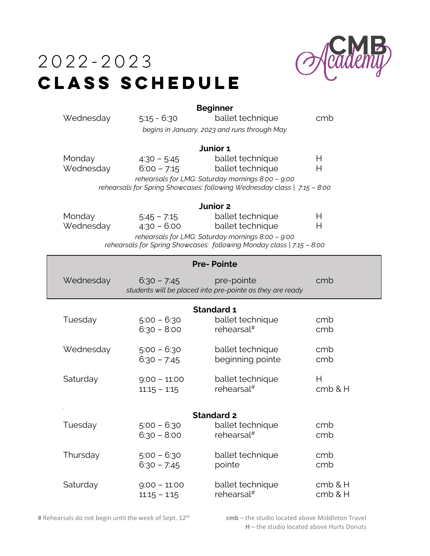

## $2022 - 2023$ **CLASS SCHEDULE**

| Wednesday                                                                                                                  | $5:15 - 6:30$                    | <b>Beginner</b><br>ballet technique<br>begins in January, 2023 and runs through May       | cmb                |  |  |
|----------------------------------------------------------------------------------------------------------------------------|----------------------------------|-------------------------------------------------------------------------------------------|--------------------|--|--|
| Junior 1                                                                                                                   |                                  |                                                                                           |                    |  |  |
| Monday<br>Wednesday                                                                                                        | $4:30 - 5:45$<br>$6:00 - 7:15$   | ballet technique<br>ballet technique<br>rehearsals for LMG: Saturday mornings 8:00 - 9:00 | Н<br>Н             |  |  |
| rehearsals for Spring Showcases: following Wednesday class   7:15 - 8:00                                                   |                                  |                                                                                           |                    |  |  |
| Junior 2                                                                                                                   |                                  |                                                                                           |                    |  |  |
| Monday<br>Wednesday                                                                                                        | $5.45 - 7.15$<br>$4:30 - 6:00$   | ballet technique<br>ballet technique                                                      | Н<br>Н             |  |  |
| rehearsals for LMG: Saturday mornings 8:00 - 9:00<br>rehearsals for Spring Showcases: following Monday class   7:15 - 8:00 |                                  |                                                                                           |                    |  |  |
| <b>Pre-Pointe</b>                                                                                                          |                                  |                                                                                           |                    |  |  |
| Wednesday                                                                                                                  | $6:30 - 7:45$                    | pre-pointe<br>students will be placed into pre-pointe as they are ready                   | cmb                |  |  |
| Standard 1                                                                                                                 |                                  |                                                                                           |                    |  |  |
| Tuesday                                                                                                                    | $5:00 - 6:30$<br>$6:30 - 8:00$   | ballet technique<br>rehearsal $#$                                                         | cmb<br>cmb         |  |  |
| Wednesday                                                                                                                  | $5:00 - 6:30$<br>$6:30 - 7:45$   | ballet technique<br>beginning pointe                                                      | cmb<br>cmb         |  |  |
| Saturday                                                                                                                   | $9:00 - 11:00$<br>$11:15 - 1:15$ | ballet technique<br>rehearsal $#$                                                         | Н<br>cmb & H       |  |  |
| <b>Standard 2</b>                                                                                                          |                                  |                                                                                           |                    |  |  |
| Tuesday                                                                                                                    | $5:00 - 6:30$<br>$6:30 - 8:00$   | ballet technique<br>rehearsal <sup>#</sup>                                                | cmb<br>cmb         |  |  |
| Thursday                                                                                                                   | $5:00 - 6:30$<br>$6:30 - 7:45$   | ballet technique<br>pointe                                                                | cmb<br>cmb         |  |  |
| Saturday                                                                                                                   | $9:00 - 11:00$<br>$11:15 - 1:15$ | ballet technique<br>rehearsal <sup>#</sup>                                                | cmb & H<br>cmb & H |  |  |

# Rehearsals do not begin until the week of Sept. 12<sup>th</sup>

 **cmb** – the studio located above Middleton Travel **H** – the studio located above Hurts Donuts